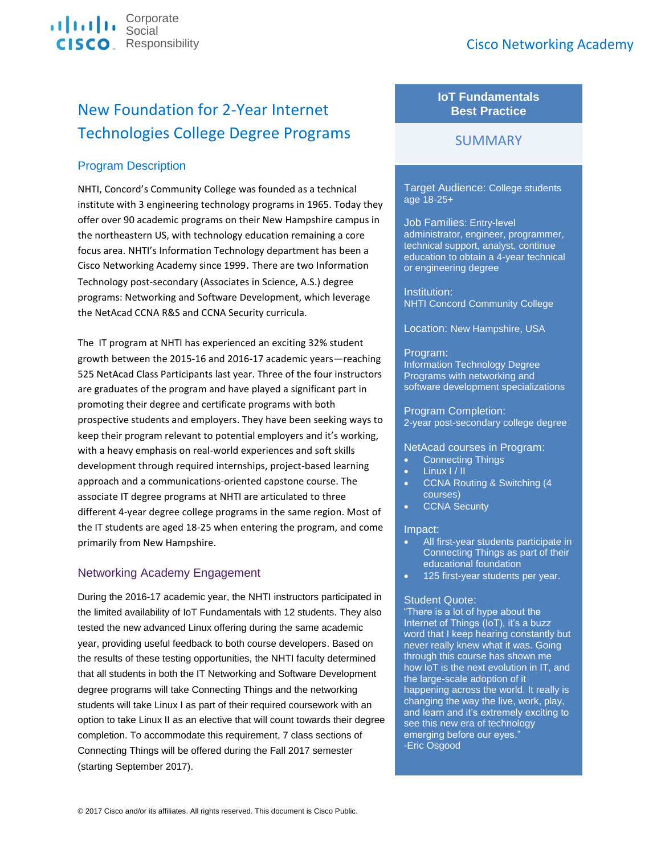

# New Foundation for 2-Year Internet Technologies College Degree Programs

# Program Description

NHTI, Concord's Community College was founded as a technical institute with 3 engineering technology programs in 1965. Today they offer over 90 academic programs on their New Hampshire campus in the northeastern US, with technology education remaining a core focus area. NHTI's Information Technology department has been a Cisco Networking Academy since 1999. There are two Information Technology post-secondary (Associates in Science, A.S.) degree programs: Networking and Software Development, which leverage the NetAcad CCNA R&S and CCNA Security curricula.

The IT program at NHTI has experienced an exciting 32% student growth between the 2015-16 and 2016-17 academic years—reaching 525 NetAcad Class Participants last year. Three of the four instructors are graduates of the program and have played a significant part in promoting their degree and certificate programs with both prospective students and employers. They have been seeking ways to keep their program relevant to potential employers and it's working, with a heavy emphasis on real-world experiences and soft skills development through required internships, project-based learning approach and a communications-oriented capstone course. The associate IT degree programs at NHTI are articulated to three different 4-year degree college programs in the same region. Most of the IT students are aged 18-25 when entering the program, and come primarily from New Hampshire.

# Networking Academy Engagement

During the 2016-17 academic year, the NHTI instructors participated in the limited availability of IoT Fundamentals with 12 students. They also tested the new advanced Linux offering during the same academic year, providing useful feedback to both course developers. Based on the results of these testing opportunities, the NHTI faculty determined that all students in both the IT Networking and Software Development degree programs will take Connecting Things and the networking students will take Linux I as part of their required coursework with an option to take Linux II as an elective that will count towards their degree completion. To accommodate this requirement, 7 class sections of Connecting Things will be offered during the Fall 2017 semester (starting September 2017).

# **IoT Fundamentals Best Practice**

# **SUMMARY**

Target Audience: College students age 18-25+

Job Families: Entry-level administrator, engineer, programmer, technical support, analyst, continue education to obtain a 4-year technical or engineering degree

Institution: NHTI Concord Community College

Location: New Hampshire, USA

## Program:

Information Technology Degree Programs with networking and software development specializations

#### Program Completion:

2-year post-secondary college degree

#### NetAcad courses in Program:

- Connecting Things
- Linux I / II
- CCNA Routing & Switching (4 courses)
- CCNA Security

#### Impact:

- All first-year students participate in Connecting Things as part of their educational foundation
- 125 first-year students per year.

## Student Quote:

"There is a lot of hype about the Internet of Things (IoT), it's a buzz word that I keep hearing constantly but never really knew what it was. Going through this course has shown me how IoT is the next evolution in IT, and the large-scale adoption of it happening across the world. It really is changing the way the live, work, play, and learn and it's extremely exciting to see this new era of technology emerging before our eyes." -Eric Osgood